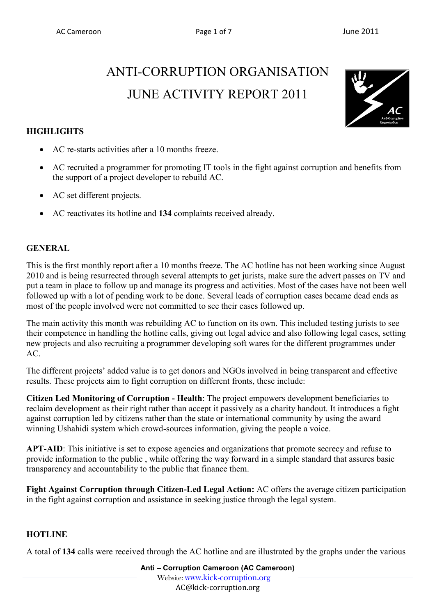# ANTI-CORRUPTION ORGANISATION JUNE ACTIVITY REPORT 2011



# **HIGHLIGHTS**

- AC re-starts activities after a 10 months freeze.
- AC recruited a programmer for promoting IT tools in the fight against corruption and benefits from the support of a project developer to rebuild AC.
- AC set different projects.
- AC reactivates its hotline and **134** complaints received already.

## **GENERAL**

This is the first monthly report after a 10 months freeze. The AC hotline has not been working since August 2010 and is being resurrected through several attempts to get jurists, make sure the advert passes on TV and put a team in place to follow up and manage its progress and activities. Most of the cases have not been well followed up with a lot of pending work to be done. Several leads of corruption cases became dead ends as most of the people involved were not committed to see their cases followed up.

The main activity this month was rebuilding AC to function on its own. This included testing jurists to see their competence in handling the hotline calls, giving out legal advice and also following legal cases, setting new projects and also recruiting a programmer developing soft wares for the different programmes under AC.

The different projects' added value is to get donors and NGOs involved in being transparent and effective results. These projects aim to fight corruption on different fronts, these include:

**Citizen Led Monitoring of Corruption - Health**: The project empowers development beneficiaries to reclaim development as their right rather than accept it passively as a charity handout. It introduces a fight against corruption led by citizens rather than the state or international community by using the award winning Ushahidi system which crowd-sources information, giving the people a voice.

**APT-AID**: This initiative is set to expose agencies and organizations that promote secrecy and refuse to provide information to the public , while offering the way forward in a simple standard that assures basic transparency and accountability to the public that finance them.

**Fight Against Corruption through Citizen-Led Legal Action:** AC offers the average citizen participation in the fight against corruption and assistance in seeking justice through the legal system.

# **HOTLINE**

A total of **134** calls were received through the AC hotline and are illustrated by the graphs under the various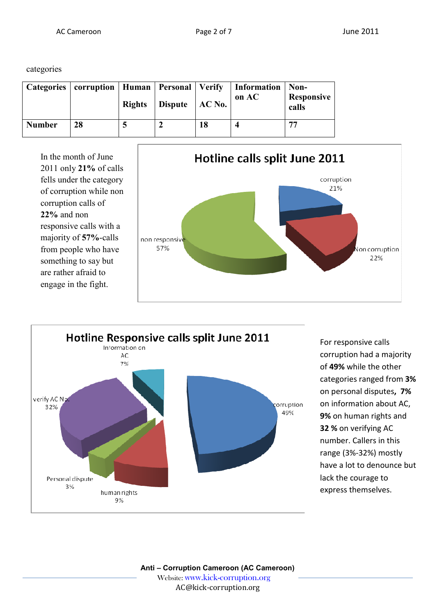categories

|               |    | <b>Rights</b> | Dispute $AC No.$ |    | Categories   corruption   Human   Personal   Verify   Information<br>on AC | $\vert$ Non-<br><b>Responsive</b><br>calls |
|---------------|----|---------------|------------------|----|----------------------------------------------------------------------------|--------------------------------------------|
| <b>Number</b> | 28 |               |                  | 18 |                                                                            | 77                                         |

In the month of June 2011 only **21%** of calls fells under the category of corruption while non corruption calls of **22%** and non responsive calls with a majority of **57%**-calls from people who have something to say but are rather afraid to engage in the fight.





For responsive calls corruption had a majority of **49%** while the other categories ranged from **3%**  on personal disputes**, 7%** on information about AC, **9%** on human rights and **32 %** on verifying AC number. Callers in this range (3%-32%) mostly have a lot to denounce but lack the courage to express themselves.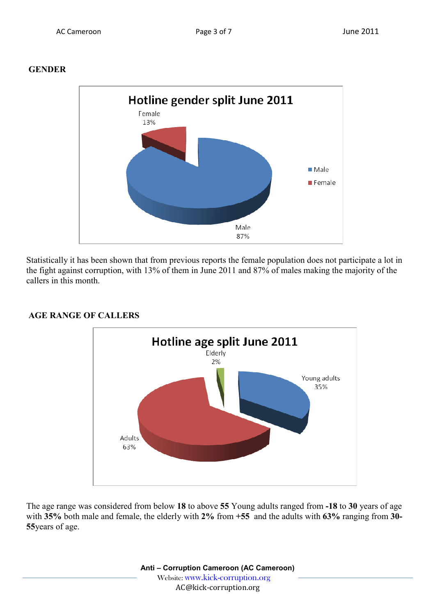## **GENDER**



Statistically it has been shown that from previous reports the female population does not participate a lot in the fight against corruption, with 13% of them in June 2011 and 87% of males making the majority of the callers in this month.



#### **AGE RANGE OF CALLERS**

The age range was considered from below **18** to above **55** Young adults ranged from **-18** to **30** years of age with **35%** both male and female, the elderly with **2%** from **+55** and the adults with **63%** ranging from **30- 55**years of age.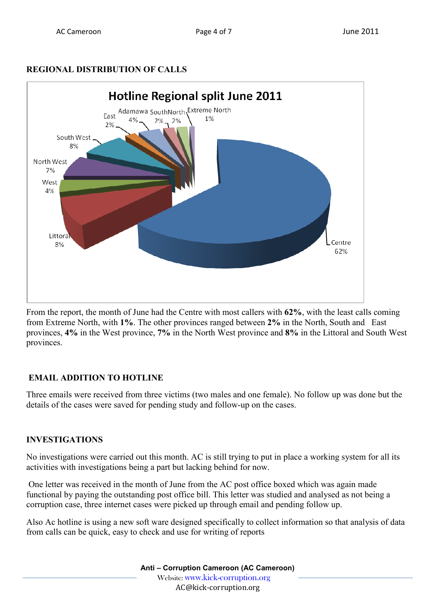# **REGIONAL DISTRIBUTION OF CALLS**



From the report, the month of June had the Centre with most callers with **62%**, with the least calls coming from Extreme North, with **1%**. The other provinces ranged between **2%** in the North, South and East provinces, **4%** in the West province, **7%** in the North West province and **8%** in the Littoral and South West provinces.

# **EMAIL ADDITION TO HOTLINE**

Three emails were received from three victims (two males and one female). No follow up was done but the details of the cases were saved for pending study and follow-up on the cases.

# **INVESTIGATIONS**

No investigations were carried out this month. AC is still trying to put in place a working system for all its activities with investigations being a part but lacking behind for now.

 One letter was received in the month of June from the AC post office boxed which was again made functional by paying the outstanding post office bill. This letter was studied and analysed as not being a corruption case, three internet cases were picked up through email and pending follow up.

Also Ac hotline is using a new soft ware designed specifically to collect information so that analysis of data from calls can be quick, easy to check and use for writing of reports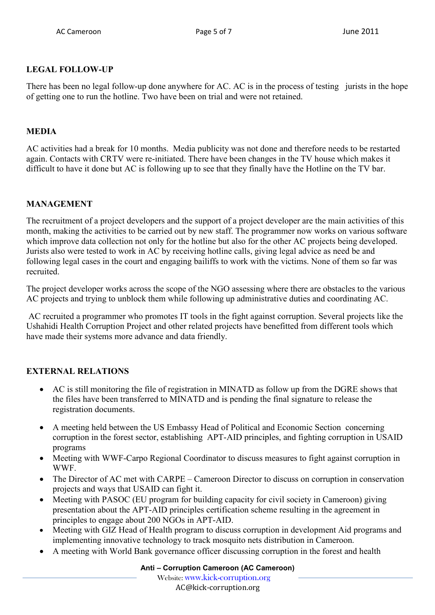## **LEGAL FOLLOW-UP**

There has been no legal follow-up done anywhere for AC. AC is in the process of testing jurists in the hope of getting one to run the hotline. Two have been on trial and were not retained.

## **MEDIA**

AC activities had a break for 10 months. Media publicity was not done and therefore needs to be restarted again. Contacts with CRTV were re-initiated. There have been changes in the TV house which makes it difficult to have it done but AC is following up to see that they finally have the Hotline on the TV bar.

## **MANAGEMENT**

The recruitment of a project developers and the support of a project developer are the main activities of this month, making the activities to be carried out by new staff. The programmer now works on various software which improve data collection not only for the hotline but also for the other AC projects being developed. Jurists also were tested to work in AC by receiving hotline calls, giving legal advice as need be and following legal cases in the court and engaging bailiffs to work with the victims. None of them so far was recruited.

The project developer works across the scope of the NGO assessing where there are obstacles to the various AC projects and trying to unblock them while following up administrative duties and coordinating AC.

 AC recruited a programmer who promotes IT tools in the fight against corruption. Several projects like the Ushahidi Health Corruption Project and other related projects have benefitted from different tools which have made their systems more advance and data friendly.

# **EXTERNAL RELATIONS**

- AC is still monitoring the file of registration in MINATD as follow up from the DGRE shows that the files have been transferred to MINATD and is pending the final signature to release the registration documents.
- A meeting held between the US Embassy Head of Political and Economic Section concerning corruption in the forest sector, establishing APT-AID principles, and fighting corruption in USAID programs
- Meeting with WWF-Carpo Regional Coordinator to discuss measures to fight against corruption in WWF.
- The Director of AC met with CARPE Cameroon Director to discuss on corruption in conservation projects and ways that USAID can fight it.
- Meeting with PASOC (EU program for building capacity for civil society in Cameroon) giving presentation about the APT-AID principles certification scheme resulting in the agreement in principles to engage about 200 NGOs in APT-AID.
- Meeting with GIZ Head of Health program to discuss corruption in development Aid programs and implementing innovative technology to track mosquito nets distribution in Cameroon.
- A meeting with World Bank governance officer discussing corruption in the forest and health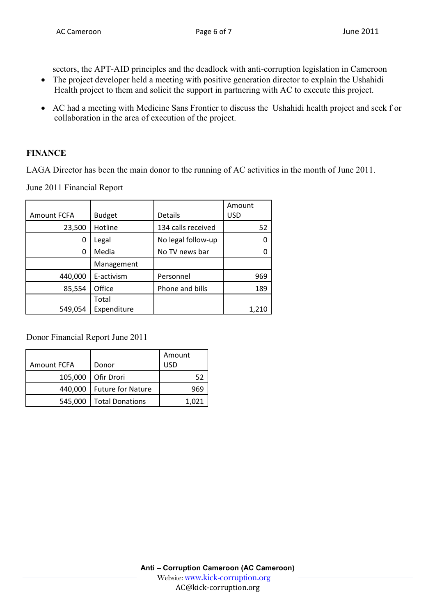sectors, the APT-AID principles and the deadlock with anti-corruption legislation in Cameroon

- The project developer held a meeting with positive generation director to explain the Ushahidi Health project to them and solicit the support in partnering with AC to execute this project.
- AC had a meeting with Medicine Sans Frontier to discuss the Ushahidi health project and seek f or collaboration in the area of execution of the project.

# **FINANCE**

LAGA Director has been the main donor to the running of AC activities in the month of June 2011.

June 2011 Financial Report

|                    |               |                    | Amount |
|--------------------|---------------|--------------------|--------|
| <b>Amount FCFA</b> | <b>Budget</b> | <b>Details</b>     | USD    |
| 23,500             | Hotline       | 134 calls received | 52     |
| 0                  | Legal         | No legal follow-up |        |
| 0                  | Media         | No TV news bar     |        |
|                    | Management    |                    |        |
| 440,000            | E-activism    | Personnel          | 969    |
| 85,554             | Office        | Phone and bills    | 189    |
|                    | Total         |                    |        |
| 549,054            | Expenditure   |                    | 1,210  |

Donor Financial Report June 2011

|             |                          | Amount |
|-------------|--------------------------|--------|
| Amount FCFA | Donor                    | USD    |
| 105,000     | Ofir Drori               | 52     |
| 440,000     | <b>Future for Nature</b> | 969    |
| 545,000     | <b>Total Donations</b>   | 1.021  |